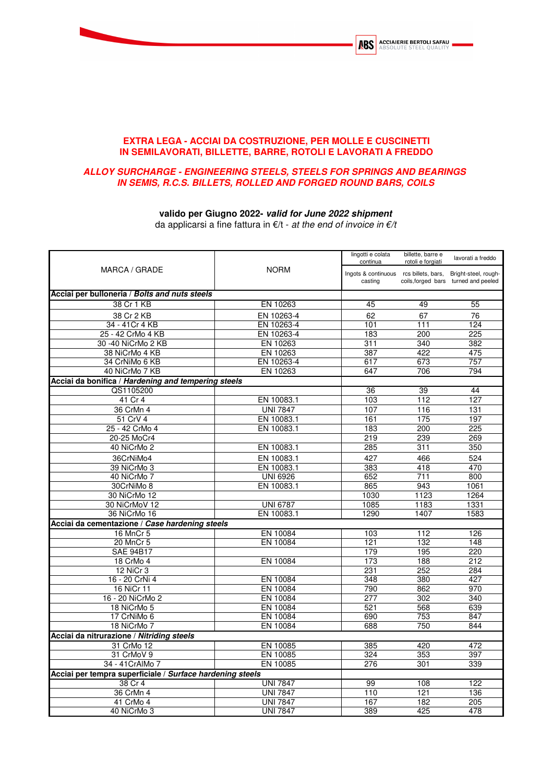

## **EXTRA LEGA - ACCIAI DA COSTRUZIONE, PER MOLLE E CUSCINETTI IN SEMILAVORATI, BILLETTE, BARRE, ROTOLI E LAVORATI A FREDDO**

## **ALLOY SURCHARGE - ENGINEERING STEELS, STEELS FOR SPRINGS AND BEARINGS IN SEMIS, R.C.S. BILLETS, ROLLED AND FORGED ROUND BARS, COILS**

## **valido per Giugno 2022- valid for June 2022 shipment**

da applicarsi a fine fattura in  $E/t$  - at the end of invoice in  $E/t$ 

| MARCA / GRADE                                             |                 | lingotti e colata<br>continua<br><b>NORM</b><br>Ingots & continuous rcs billets, bars, | billette, barre e<br>rotoli e forgiati | lavorati a freddo                    |
|-----------------------------------------------------------|-----------------|----------------------------------------------------------------------------------------|----------------------------------------|--------------------------------------|
|                                                           |                 |                                                                                        |                                        | Bright-steel, rough-                 |
|                                                           |                 | casting                                                                                |                                        | coils, forged bars turned and peeled |
| Acciai per bulloneria / Bolts and nuts steels             |                 |                                                                                        |                                        |                                      |
| 38 Cr 1 KB                                                | EN 10263        | 45                                                                                     | 49                                     | 55                                   |
| 38 Cr 2 KB                                                | EN 10263-4      | 62                                                                                     | 67                                     | 76                                   |
| 34 - 41 Cr 4 KB                                           | EN 10263-4      | 101                                                                                    | 111                                    | 124                                  |
| 25 - 42 CrMo 4 KB                                         | EN 10263-4      | 183                                                                                    | 200                                    | 225                                  |
| 30 -40 NiCrMo 2 KB                                        | EN 10263        | 311                                                                                    | 340                                    | 382                                  |
| 38 NiCrMo 4 KB                                            | EN 10263        | 387                                                                                    | 422                                    | 475                                  |
| 34 CrNiMo 6 KB                                            | EN 10263-4      | 617                                                                                    | 673                                    | 757                                  |
| 40 NiCrMo 7 KB                                            | EN 10263        | 647                                                                                    | 706                                    | 794                                  |
| Acciai da bonifica / Hardening and tempering steels       |                 |                                                                                        |                                        |                                      |
| QS1105200                                                 |                 | 36                                                                                     | 39                                     | 44                                   |
| 41 Cr 4                                                   | EN 10083.1      | 103                                                                                    | 112                                    | 127                                  |
| 36 CrMn 4                                                 | <b>UNI 7847</b> | 107                                                                                    | 116                                    | 131                                  |
| 51 CrV 4                                                  | EN 10083.1      | 161                                                                                    | 175                                    | 197                                  |
| 25 - 42 CrMo 4                                            | EN 10083.1      | 183                                                                                    | 200                                    | 225                                  |
| 20-25 MoCr4                                               |                 | 219                                                                                    | 239                                    | 269                                  |
| 40 NiCrMo 2                                               | EN 10083.1      | 285                                                                                    | 311                                    | 350                                  |
| 36CrNiMo4                                                 | EN 10083.1      | 427                                                                                    | 466                                    | 524                                  |
| 39 NiCrMo 3                                               | EN 10083.1      | 383                                                                                    | 418                                    | 470                                  |
| 40 NiCrMo 7                                               | <b>UNI 6926</b> | 652                                                                                    | 711                                    | 800                                  |
| 30CrNiMo 8                                                | EN 10083.1      | 865                                                                                    | 943                                    | 1061                                 |
| 30 NiCrMo 12                                              |                 | 1030                                                                                   | 1123                                   | 1264                                 |
| 30 NiCrMoV 12                                             | <b>UNI 6787</b> | 1085                                                                                   | 1183                                   | 1331                                 |
| 36 NiCrMo 16                                              | EN 10083.1      | 1290                                                                                   | 1407                                   | 1583                                 |
| Acciai da cementazione / Case hardening steels            |                 |                                                                                        |                                        |                                      |
| 16 MnCr 5                                                 | EN 10084        | 103                                                                                    | 112                                    | 126                                  |
| 20 MnCr 5                                                 | EN 10084        | 121                                                                                    | 132                                    | 148                                  |
| <b>SAE 94B17</b>                                          |                 | 179                                                                                    | 195                                    | 220                                  |
| 18 CrMo 4                                                 | EN 10084        | 173                                                                                    | 188                                    | 212                                  |
| <b>12 NiCr 3</b>                                          |                 | 231                                                                                    | 252                                    | 284                                  |
| 16 - 20 CrNi 4                                            | EN 10084        | 348                                                                                    | 380                                    | 427                                  |
| 16 NiCr 11                                                | EN 10084        | 790                                                                                    | 862                                    | 970                                  |
| 16 - 20 NiCrMo 2                                          | EN 10084        | 277                                                                                    | 302                                    | 340                                  |
| 18 NiCrMo 5                                               | EN 10084        | 521                                                                                    | 568                                    | 639                                  |
| 17 CrNiMo 6                                               | EN 10084        | 690                                                                                    | 753                                    | 847                                  |
| 18 NiCrMo 7                                               | EN 10084        | 688                                                                                    | 750                                    | 844                                  |
| Acciai da nitrurazione / Nitriding steels                 |                 |                                                                                        |                                        |                                      |
| 31 CrMo 12                                                | EN 10085        | 385                                                                                    | 420                                    | 472                                  |
| 31 CrMoV 9                                                | EN 10085        | 324                                                                                    | 353                                    | 397                                  |
| 34 - 41 CrAlMo 7                                          | EN 10085        | 276                                                                                    | 301                                    | 339                                  |
| Acciai per tempra superficiale / Surface hardening steels |                 |                                                                                        |                                        |                                      |
| 38 Cr 4                                                   | <b>UNI 7847</b> | 99                                                                                     | 108                                    | 122                                  |
| 36 CrMn 4                                                 | <b>UNI 7847</b> | 110                                                                                    | 121                                    | 136                                  |
| 41 CrMo 4                                                 | <b>UNI 7847</b> | 167                                                                                    | 182                                    | 205                                  |
| 40 NiCrMo 3                                               | <b>UNI 7847</b> | 389                                                                                    | 425                                    | 478                                  |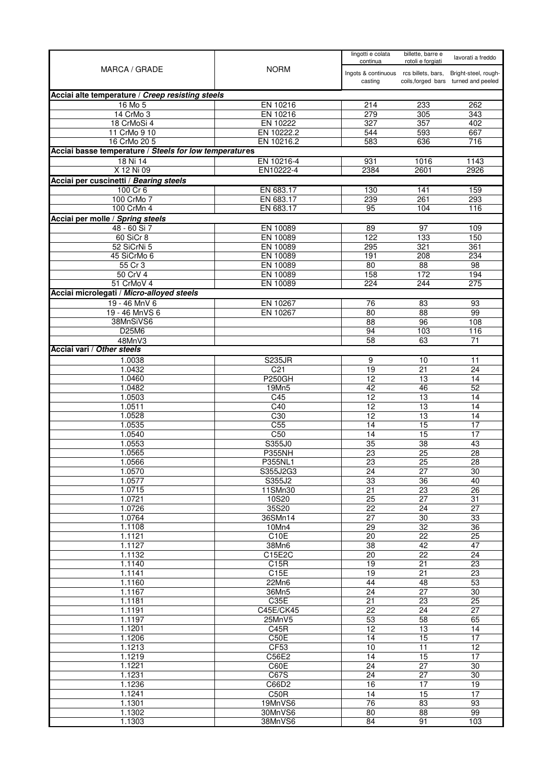| MARCA / GRADE                                          | <b>NORM</b>              | lingotti e colata<br>continua          | billette, barre e<br>rotoli e forgiati | lavorati a freddo                    |
|--------------------------------------------------------|--------------------------|----------------------------------------|----------------------------------------|--------------------------------------|
|                                                        |                          | Ingots & continuous rcs billets, bars, |                                        | Bright-steel, rough-                 |
|                                                        |                          | casting                                |                                        | coils, forged bars turned and peeled |
| Acciai alte temperature / Creep resisting steels       |                          |                                        |                                        |                                      |
| 16 Mo 5                                                | EN 10216                 | 214                                    | 233                                    | 262                                  |
| 14 CrMo 3                                              | EN 10216                 | 279                                    | 305                                    | 343<br>402                           |
| 18 CrMoSi 4<br>11 CrMo 9 10                            | EN 10222<br>EN 10222.2   | 327<br>544                             | 357<br>593                             | 667                                  |
| 16 CrMo 20 5                                           | EN 10216.2               | 583                                    | 636                                    | 716                                  |
| Acciai basse temperature / Steels for low temperatures |                          |                                        |                                        |                                      |
| 18 Ni 14                                               | EN 10216-4               | 931                                    | 1016                                   | 1143                                 |
| X 12 Ni 09                                             | EN10222-4                | 2384                                   | 2601                                   | 2926                                 |
| Acciai per cuscinetti / Bearing steels                 |                          |                                        |                                        |                                      |
| 100 Cr 6                                               | EN 683.17                | 130                                    | 141                                    | 159                                  |
| 100 CrMo 7<br>100 CrMn 4                               | EN 683.17<br>EN 683.17   | 239<br>95                              | 261<br>104                             | 293<br>116                           |
| Acciai per molle / Spring steels                       |                          |                                        |                                        |                                      |
| 48 - 60 Si 7                                           | EN 10089                 | 89                                     | 97                                     | 109                                  |
| 60 SiCr 8                                              | EN 10089                 | 122                                    | 133                                    | 150                                  |
| 52 SiCrNi 5                                            | EN 10089                 | 295                                    | 321                                    | 361                                  |
| 45 SiCrMo 6                                            | EN 10089                 | 191                                    | 208                                    | 234                                  |
| 55 Cr 3<br>50 CrV 4                                    | EN 10089<br>EN 10089     | 80<br>158                              | 88<br>172                              | 98<br>194                            |
| 51 CrMoV 4                                             | EN 10089                 | 224                                    | 244                                    | 275                                  |
| Acciai microlegati / Micro-alloyed steels              |                          |                                        |                                        |                                      |
| 19 - 46 MnV 6                                          | EN 10267                 | 76                                     | 83                                     | 93                                   |
| 19 - 46 MnVS 6                                         | EN 10267                 | 80                                     | 88                                     | 99                                   |
| 38MnSiVS6                                              |                          | $\overline{88}$                        | 96                                     | 108                                  |
| D25M6<br>48MnV3                                        |                          | 94<br>58                               | 103<br>63                              | 116<br>71                            |
| Acciai vari / Other steels                             |                          |                                        |                                        |                                      |
| 1.0038                                                 | <b>S235JR</b>            | 9                                      | 10                                     | 11                                   |
| 1.0432                                                 | C <sub>21</sub>          | 19                                     | 21                                     | 24                                   |
| 1.0460                                                 | <b>P250GH</b>            | 12                                     | $\overline{13}$                        | 14                                   |
| 1.0482                                                 | 19Mn5                    | 42                                     | 46                                     | 52                                   |
| 1.0503<br>1.0511                                       | C45<br>C40               | 12<br>12                               | 13<br>13                               | 14<br>14                             |
| 1.0528                                                 | C30                      | $\overline{12}$                        | 13                                     | 14                                   |
| 1.0535                                                 | C <sub>55</sub>          | 14                                     | 15                                     | 17                                   |
| 1.0540                                                 | C50                      | 14                                     | $\overline{15}$                        | 17                                   |
| 1.0553                                                 | S355J0                   | 35                                     | $\overline{38}$                        | 43                                   |
| 1.0565<br>1.0566                                       | <b>P355NH</b><br>P355NL1 | 23<br>$\overline{23}$                  | 25<br>$\overline{25}$                  | 28<br>28                             |
| 1.0570                                                 | S355J2G3                 | 24                                     | 27                                     | 30                                   |
| 1.0577                                                 | S355J2                   | 33                                     | 36                                     | 40                                   |
| 1.0715                                                 | 11SMn30                  | $\overline{21}$                        | $\overline{23}$                        | $\overline{26}$                      |
| 1.0721                                                 | 10S20                    | $\overline{25}$                        | $\overline{27}$                        | $\overline{31}$                      |
| 1.0726<br>1.0764                                       | 35S20<br>36SMn14         | 22<br>$\overline{27}$                  | 24<br>$\overline{30}$                  | $\overline{27}$<br>33                |
| 1.1108                                                 | 10Mn4                    | $\overline{29}$                        | $\overline{32}$                        | $\overline{36}$                      |
| 1.1121                                                 | C10E                     | 20                                     | 22                                     | 25                                   |
| 1.1127                                                 | 38Mn6                    | $\overline{38}$                        | 42                                     | 47                                   |
| 1.1132                                                 | C15E2C                   | $\overline{20}$                        | $\overline{22}$                        | $\overline{24}$                      |
| 1.1140<br>1.1141                                       | C15R<br>C15E             | 19<br>19                               | 21<br>21                               | 23<br>23                             |
| 1.1160                                                 | 22Mn6                    | 44                                     | 48                                     | 53                                   |
| 1.1167                                                 | 36Mn5                    | 24                                     | $\overline{27}$                        | $\overline{30}$                      |
| 1.1181                                                 | C35E                     | 21                                     | $\overline{23}$                        | $\overline{25}$                      |
| 1.1191                                                 | C45E/CK45                | 22                                     | 24                                     | $\overline{27}$                      |
| 1.1197                                                 | 25MnV5                   | 53                                     | $\overline{58}$                        | 65                                   |
| 1.1201<br>1.1206                                       | C45R<br>C50E             | 12<br>14                               | 13<br>15                               | 14<br>$\overline{17}$                |
| 1.1213                                                 | CF53                     | 10                                     | 11                                     | $\overline{12}$                      |
| 1.1219                                                 | C56E2                    | 14                                     | 15                                     | 17                                   |
| 1.1221                                                 | C60E                     | 24                                     | $\overline{27}$                        | 30                                   |
| 1.1231                                                 | C67S                     | $\overline{24}$                        | 27                                     | $\overline{30}$                      |
| 1.1236<br>1.1241                                       | C66D2                    | 16                                     | $\overline{17}$<br>15                  | 19<br>17                             |
| 1.1301                                                 | C50R<br>19MnVS6          | 14<br>$\overline{76}$                  | $\overline{83}$                        | 93                                   |
| 1.1302                                                 | 30MnVS6                  | 80                                     | $\overline{88}$                        | 99                                   |
| 1.1303                                                 | 38MnVS6                  | 84                                     | 91                                     | 103                                  |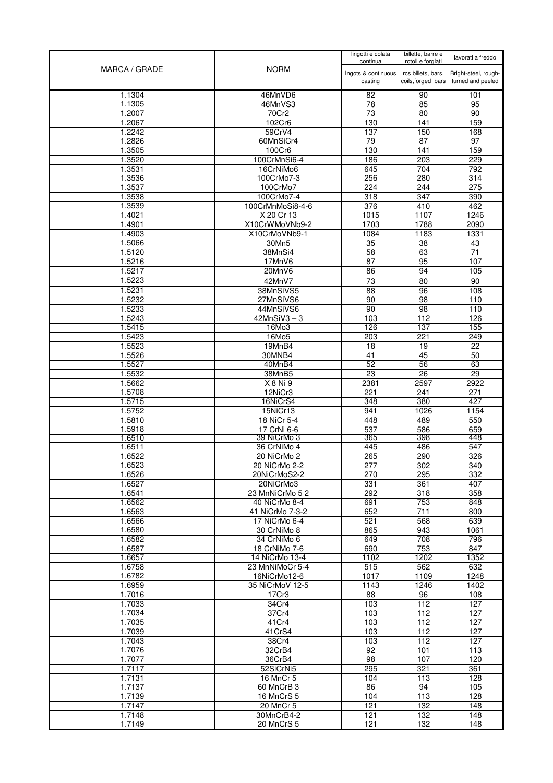| MARCA / GRADE    | <b>NORM</b>                      | lingotti e colata<br>continua                     | billette, barre e<br>rotoli e forgiati | lavorati a freddo                                            |
|------------------|----------------------------------|---------------------------------------------------|----------------------------------------|--------------------------------------------------------------|
|                  |                                  | Ingots & continuous rcs billets, bars,<br>casting |                                        | Bright-steel, rough-<br>coils, forged bars turned and peeled |
| 1.1304           | 46MnVD6                          | 82                                                | 90                                     | 101                                                          |
| 1.1305           | 46MnVS3                          | 78                                                | 85                                     | 95                                                           |
| 1.2007           | 70Cr2                            | 73                                                | 80                                     | 90                                                           |
| 1.2067<br>1.2242 | 102Cr6                           | 130                                               | 141                                    | 159                                                          |
| 1.2826           | 59CrV4<br>60MnSiCr4              | 137<br>79                                         | 150<br>87                              | 168<br>97                                                    |
| 1.3505           | 100Cr6                           | 130                                               | 141                                    | 159                                                          |
| 1.3520           | 100CrMnSi6-4                     | 186                                               | 203                                    | 229                                                          |
| 1.3531           | 16CrNiMo6                        | 645                                               | 704                                    | 792                                                          |
| 1.3536           | 100CrMo7-3                       | 256                                               | 280                                    | $\overline{314}$                                             |
| 1.3537           | 100CrMo7                         | 224                                               | 244                                    | 275                                                          |
| 1.3538           | 100CrMo7-4                       | 318                                               | 347                                    | 390                                                          |
| 1.3539           | 100CrMnMoSi8-4-6                 | 376                                               | 410                                    | 462                                                          |
| 1.4021           | X 20 Cr 13                       | 1015                                              | 1107                                   | 1246                                                         |
| 1.4901<br>1.4903 | X10CrWMoVNb9-2<br>X10CrMoVNb9-1  | 1703<br>1084                                      | 1788<br>1183                           | 2090<br>1331                                                 |
| 1.5066           | 30Mn5                            | 35                                                | 38                                     | 43                                                           |
| 1.5120           | 38MnSi4                          | 58                                                | 63                                     | $\overline{71}$                                              |
| 1.5216           | 17MnV6                           | $\overline{87}$                                   | 95                                     | 107                                                          |
| 1.5217           | 20MnV6                           | 86                                                | 94                                     | 105                                                          |
| 1.5223           | 42MnV7                           | 73                                                | 80                                     | 90                                                           |
| 1.5231           | 38MnSiVS5                        | $\overline{88}$                                   | 96                                     | 108                                                          |
| 1.5232           | 27MnSiVS6                        | 90                                                | 98                                     | 110                                                          |
| 1.5233           | 44MnSiVS6                        | 90                                                | 98                                     | 110                                                          |
| 1.5243           | $42MnSiV3-3$                     | 103                                               | 112                                    | 126                                                          |
| 1.5415           | 16Mo3                            | 126                                               | 137                                    | 155                                                          |
| 1.5423<br>1.5523 | 16Mo5<br>19MnB4                  | 203<br>18                                         | 221<br>$\overline{19}$                 | 249<br>22                                                    |
| 1.5526           | 30MNB4                           | 41                                                | 45                                     | 50                                                           |
| 1.5527           | 40MnB4                           | 52                                                | 56                                     | 63                                                           |
| 1.5532           | 38MnB5                           | 23                                                | $\overline{26}$                        | 29                                                           |
| 1.5662           | X 8 Ni 9                         | 2381                                              | 2597                                   | 2922                                                         |
| 1.5708           | 12NiCr3                          | 221                                               | 241                                    | 271                                                          |
| 1.5715           | 16NiCrS4                         | 348                                               | 380                                    | 427                                                          |
| 1.5752           | 15NiCr13                         | 941                                               | 1026                                   | 1154                                                         |
| 1.5810           | 18 NiCr 5-4                      | 448                                               | 489                                    | 550                                                          |
| 1.5918<br>1.6510 | 17 CrNi 6-6<br>39 NiCrMo 3       | 537<br>365                                        | 586<br>398                             | 659<br>448                                                   |
| 1.6511           | 36 CrNiMo 4                      | 445                                               | 486                                    | 547                                                          |
| 1.6522           | 20 NiCrMo 2                      | 265                                               | 290                                    | 326                                                          |
| 1.6523           | 20 NiCrMo 2-2                    | 277                                               | 302                                    | 340                                                          |
| 1.6526           | 20NiCrMoS2-2                     | 270                                               | 295                                    | 332                                                          |
| 1.6527           | 20NiCrMo3                        | 331                                               | 361                                    | 407                                                          |
| 1.6541           | 23 MnNiCrMo 52                   | 292                                               | 318                                    | 358                                                          |
| 1.6562           | 40 NiCrMo 8-4                    | 691                                               | 753                                    | 848                                                          |
| 1.6563<br>1.6566 | 41 NiCrMo 7-3-2<br>17 NiCrMo 6-4 | 652<br>521                                        | 711<br>568                             | 800<br>639                                                   |
| 1.6580           | 30 CrNiMo 8                      | 865                                               | 943                                    | 1061                                                         |
| 1.6582           | 34 CrNiMo 6                      | 649                                               | 708                                    | 796                                                          |
| 1.6587           | 18 CrNiMo 7-6                    | 690                                               | 753                                    | 847                                                          |
| 1.6657           | 14 NiCrMo 13-4                   | 1102                                              | 1202                                   | 1352                                                         |
| 1.6758           | 23 MnNiMoCr 5-4                  | 515                                               | 562                                    | 632                                                          |
| 1.6782           | 16NiCrMo12-6                     | 1017                                              | 1109                                   | 1248                                                         |
| 1.6959<br>1.7016 | 35 NiCrMoV 12-5                  | 1143                                              | 1246                                   | 1402<br>108                                                  |
| 1.7033           | 17Cr3<br>34Cr4                   | 88<br>103                                         | 96<br>112                              | 127                                                          |
| 1.7034           | 37Cr4                            | 103                                               | 112                                    | 127                                                          |
| 1.7035           | 41 Cr4                           | 103                                               | 112                                    | 127                                                          |
| 1.7039           | 41CrS4                           | 103                                               | 112                                    | 127                                                          |
| 1.7043           | 38Cr4                            | 103                                               | 112                                    | 127                                                          |
| 1.7076           | 32CrB4                           | 92                                                | 101                                    | 113                                                          |
| 1.7077           | 36CrB4                           | 98                                                | 107                                    | 120                                                          |
| 1.7117           | 52SiCrNi5                        | 295                                               | 321                                    | 361                                                          |
| 1.7131           | 16 MnCr 5                        | 104                                               | 113                                    | 128                                                          |
| 1.7137<br>1.7139 | 60 MnCrB 3                       | 86<br>104                                         | 94<br>113                              | 105<br>128                                                   |
| 1.7147           | 16 MnCrS 5<br>20 MnCr 5          | 121                                               | 132                                    | 148                                                          |
| 1.7148           | 30MnCrB4-2                       | 121                                               | 132                                    | 148                                                          |
| 1.7149           | 20 MnCrS 5                       | 121                                               | 132                                    | 148                                                          |
|                  |                                  |                                                   |                                        |                                                              |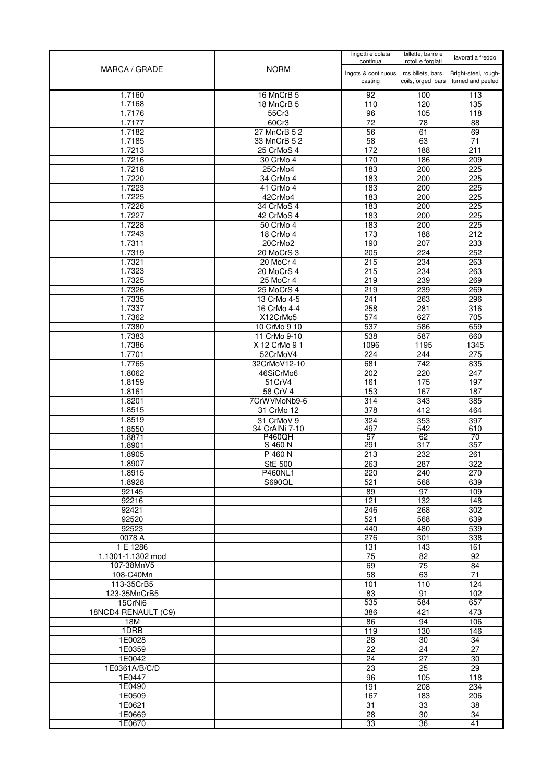| MARCA / GRADE                  | <b>NORM</b>                | lingotti e colata<br>continua                     | billette, barre e<br>rotoli e forgiati | lavorati a freddo                                            |
|--------------------------------|----------------------------|---------------------------------------------------|----------------------------------------|--------------------------------------------------------------|
|                                |                            | Ingots & continuous rcs billets, bars,<br>casting |                                        | Bright-steel, rough-<br>coils, forged bars turned and peeled |
| 1.7160                         | 16 MnCrB 5                 | 92                                                | 100                                    | 113                                                          |
| 1.7168                         | 18 MnCrB 5                 | 110                                               | 120                                    | 135                                                          |
| 1.7176                         | 55Cr3                      | 96                                                | 105                                    | 118                                                          |
| 1.7177<br>1.7182               | 60Cr3<br>27 MnCrB 5 2      | $\overline{72}$<br>$\overline{56}$                | 78<br>61                               | 88<br>69                                                     |
| 1.7185                         | 33 MnCrB 5 2               | 58                                                | 63                                     | 71                                                           |
| 1.7213                         | 25 CrMoS 4                 | $\overline{172}$                                  | 188                                    | 211                                                          |
| 1.7216                         | 30 CrMo 4                  | 170                                               | 186                                    | 209                                                          |
| 1.7218                         | 25CrMo4                    | 183                                               | 200                                    | 225                                                          |
| 1.7220                         | 34 CrMo 4                  | 183                                               | 200                                    | 225                                                          |
| 1.7223                         | 41 CrMo 4                  | 183                                               | 200                                    | 225                                                          |
| 1.7225                         | 42CrMo4                    | 183                                               | 200                                    | 225                                                          |
| 1.7226<br>1.7227               | 34 CrMoS 4<br>42 CrMoS 4   | 183<br>183                                        | 200<br>200                             | 225<br>225                                                   |
| 1.7228                         | 50 CrMo 4                  | 183                                               | 200                                    | 225                                                          |
| 1.7243                         | 18 CrMo 4                  | $\overline{173}$                                  | 188                                    | $\overline{212}$                                             |
| 1.7311                         | 20CrMo2                    | 190                                               | 207                                    | 233                                                          |
| 1.7319                         | 20 MoCrS 3                 | 205                                               | 224                                    | 252                                                          |
| 1.7321                         | $20$ MoCr 4                | 215                                               | 234                                    | 263                                                          |
| 1.7323                         | 20 MoCrS 4                 | 215                                               | 234                                    | 263                                                          |
| 1.7325                         | 25 MoCr 4                  | 219                                               | 239                                    | 269                                                          |
| 1.7326                         | 25 MoCrS 4                 | 219                                               | 239                                    | 269                                                          |
| 1.7335<br>1.7337               | 13 CrMo 4-5<br>16 CrMo 4-4 | 241<br>258                                        | 263<br>281                             | 296<br>316                                                   |
| 1.7362                         | X12CrMo5                   | 574                                               | 627                                    | 705                                                          |
| 1.7380                         | 10 CrMo 9 10               | 537                                               | 586                                    | 659                                                          |
| 1.7383                         | 11 CrMo 9-10               | 538                                               | 587                                    | 660                                                          |
| 1.7386                         | X 12 CrMo 9 1              | 1096                                              | 1195                                   | 1345                                                         |
| 1.7701                         | 52CrMoV4                   | 224                                               | 244                                    | 275                                                          |
| 1.7765                         | 32CrMoV12-10               | 681                                               | 742                                    | 835                                                          |
| 1.8062                         | 46SiCrMo6                  | 202                                               | 220                                    | 247                                                          |
| 1.8159                         | 51CrV4                     | 161                                               | 175<br>167                             | 197                                                          |
| 1.8161<br>1.8201               | 58 CrV 4<br>7CrWVMoNb9-6   | 153<br>314                                        | $\frac{1}{343}$                        | 187<br>385                                                   |
| 1.8515                         | 31 CrMo 12                 | 378                                               | 412                                    | 464                                                          |
| 1.8519                         | 31 CrMoV 9                 | 324                                               | 353                                    | 397                                                          |
| 1.8550                         | 34 CrAINi 7-10             | 497                                               | 542                                    | 610                                                          |
| 1.8871                         | <b>P460QH</b>              | 57                                                | 62                                     | 70                                                           |
| 1.8901<br>1.8905               | S 460 N<br>P 460 N         | 291<br>213                                        | 317<br>232                             | 357<br>261                                                   |
| 1.8907                         | StE 500                    | 263                                               | 287                                    | 322                                                          |
| 1.8915                         | P460NL1                    | 220                                               | 240                                    | 270                                                          |
| 1.8928                         | S690QL                     | 521                                               | 568                                    | 639                                                          |
| 92145                          |                            | 89                                                | 97                                     | 109                                                          |
| 92216                          |                            | 121                                               | $\frac{132}{2}$                        | 148                                                          |
| 92421                          |                            | 246                                               | 268                                    | 302                                                          |
| 92520<br>92523                 |                            | 521                                               | 568<br>480                             | 639                                                          |
| 0078 A                         |                            | 440<br>276                                        | 301                                    | 539<br>338                                                   |
| 1 E 1286                       |                            | 131                                               | $\frac{143}{143}$                      | 161                                                          |
| 1.1301-1.1302 mod              |                            | 75                                                | 82                                     | 92                                                           |
| 107-38MnV5                     |                            | 69                                                | 75                                     | 84                                                           |
| 108-C40Mn                      |                            | 58                                                | 63                                     | 71                                                           |
| 113-35CrB5                     |                            | 101                                               | 110                                    | 124                                                          |
| 123-35MnCrB5                   |                            | 83                                                | 91                                     | 102                                                          |
| 15CrNi6<br>18NCD4 RENAULT (C9) |                            | 535                                               | 584                                    | 657                                                          |
| 18M                            |                            | 386<br>86                                         | 421<br>94                              | 473<br>106                                                   |
| 1DRB                           |                            | 119                                               | 130                                    | 146                                                          |
| 1E0028                         |                            | 28                                                | 30                                     | 34                                                           |
| 1E0359                         |                            | 22                                                | 24                                     | 27                                                           |
| 1E0042                         |                            | 24                                                | $\overline{27}$                        | 30                                                           |
| 1E0361A/B/C/D                  |                            | $\overline{23}$                                   | $\overline{25}$                        | 29                                                           |
| 1E0447                         |                            | 96                                                | 105                                    | 118                                                          |
| 1E0490<br>1E0509               |                            | 191<br>167                                        | 208<br>183                             | 234<br>206                                                   |
| 1E0621                         |                            | 31                                                | $\overline{33}$                        | $\overline{38}$                                              |
| 1E0669                         |                            | $\overline{28}$                                   | 30                                     | 34                                                           |
| 1E0670                         |                            | 33                                                | 36                                     | 41                                                           |
|                                |                            |                                                   |                                        |                                                              |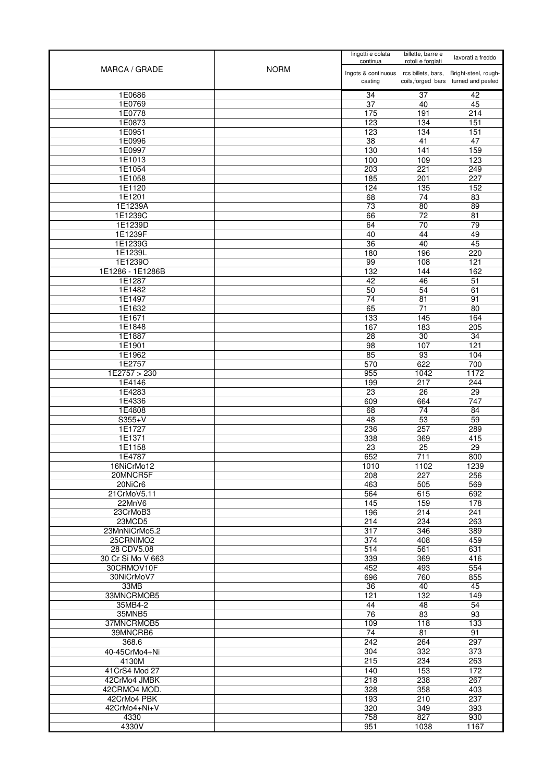| MARCA / GRADE      | <b>NORM</b> | lingotti e colata<br>continua                     | billette, barre e<br>rotoli e forgiati | lavorati a freddo                                            |
|--------------------|-------------|---------------------------------------------------|----------------------------------------|--------------------------------------------------------------|
|                    |             | Ingots & continuous rcs billets, bars,<br>casting |                                        | Bright-steel, rough-<br>coils, forged bars turned and peeled |
| 1E0686             |             | 34                                                | 37                                     | 42                                                           |
| 1E0769             |             | 37                                                | 40                                     | 45                                                           |
| 1E0778             |             | 175                                               | 191                                    | 214                                                          |
| 1E0873             |             | 123                                               | 134                                    | 151                                                          |
| 1E0951             |             | 123                                               | $\frac{1}{134}$                        | 151                                                          |
| 1E0996             |             | 38                                                | 41                                     | 47                                                           |
| 1E0997             |             | 130                                               | $\overline{141}$                       | 159                                                          |
| 1E1013             |             | 100                                               | 109                                    | 123                                                          |
| 1E1054             |             | 203                                               | 221                                    | 249                                                          |
| 1E1058             |             | 185                                               | 201                                    | 227                                                          |
| 1E1120             |             | 124                                               | 135                                    | 152                                                          |
| 1E1201<br>1E1239A  |             | 68<br>$\overline{73}$                             | 74<br>$\overline{80}$                  | 83<br>89                                                     |
| 1E1239C            |             | 66                                                | $\overline{72}$                        | $\overline{81}$                                              |
| 1E1239D            |             | 64                                                | 70                                     | 79                                                           |
| 1E1239F            |             | 40                                                | 44                                     | 49                                                           |
| 1E1239G            |             | 36                                                | 40                                     | 45                                                           |
| 1E1239L            |             | 180                                               | 196                                    | 220                                                          |
| 1E1239O            |             | 99                                                | 108                                    | 121                                                          |
| 1E1286 - 1E1286B   |             | 132                                               | 144                                    | 162                                                          |
| 1E1287             |             | 42                                                | 46                                     | $\overline{51}$                                              |
| 1E1482             |             | 50                                                | 54                                     | 61                                                           |
| 1E1497             |             | 74                                                | 81                                     | 91                                                           |
| 1E1632             |             | 65                                                | 71                                     | 80                                                           |
| 1E1671             |             | 133                                               | 145                                    | 164                                                          |
| 1E1848             |             | 167                                               | 183                                    | 205                                                          |
| 1E1887             |             | 28                                                | 30                                     | 34                                                           |
| 1E1901             |             | 98                                                | 107                                    | 121                                                          |
| 1E1962             |             | 85                                                | 93                                     | 104                                                          |
| 1E2757             |             | 570                                               | 622                                    | 700                                                          |
| 1E2757 > 230       |             | 955                                               | 1042                                   | 1172                                                         |
| 1E4146<br>1E4283   |             | 199<br>$\overline{23}$                            | 217<br>$\overline{26}$                 | 244<br>$\overline{29}$                                       |
| 1E4336             |             | 609                                               | 664                                    | $\overline{747}$                                             |
| 1E4808             |             | 68                                                | 74                                     | 84                                                           |
| $S355+V$           |             | 48                                                | 53                                     | 59                                                           |
| 1E1727             |             | 236                                               | 257                                    | 289                                                          |
| 1E1371             |             | 338                                               | 369                                    | 415                                                          |
| 1E1158             |             | 23                                                | 25                                     | 29                                                           |
| 1E4787             |             | 652                                               | $\overline{711}$                       | 800                                                          |
| 16NiCrMo12         |             | 1010                                              | 1102                                   | 1239                                                         |
| 20MNCR5F           |             | 208                                               | 227                                    | 256                                                          |
| 20NiCr6            |             | 463                                               | 505                                    | 569                                                          |
| 21CrMoV5.11        |             | 564                                               | 615                                    | 692                                                          |
| 22MnV6             |             | 145<br>196                                        | 159                                    | 178                                                          |
| 23CrMoB3<br>23MCD5 |             | 214                                               | 214<br>234                             | 241<br>263                                                   |
| 23MnNiCrMo5.2      |             | 317                                               | 346                                    | 389                                                          |
| 25CRNIMO2          |             | 374                                               | 408                                    | 459                                                          |
| 28 CDV5.08         |             | 514                                               | 561                                    | 631                                                          |
| 30 Cr Si Mo V 663  |             | 339                                               | 369                                    | 416                                                          |
| 30CRMOV10F         |             | 452                                               | 493                                    | 554                                                          |
| 30NiCrMoV7         |             | 696                                               | 760                                    | 855                                                          |
| 33MB               |             | 36                                                | 40                                     | 45                                                           |
| 33MNCRMOB5         |             | 121                                               | 132                                    | 149                                                          |
| 35MB4-2            |             | 44                                                | 48                                     | 54                                                           |
| 35MNB5             |             | $\overline{76}$                                   | 83                                     | 93                                                           |
| 37MNCRMOB5         |             | 109                                               | 118                                    | 133                                                          |
| 39MNCRB6<br>368.6  |             | 74<br>242                                         | 81<br>264                              | 91<br>297                                                    |
| 40-45CrMo4+Ni      |             | 304                                               | 332                                    | 373                                                          |
| 4130M              |             | 215                                               | 234                                    | 263                                                          |
| 41 CrS4 Mod 27     |             | 140                                               | 153                                    | 172                                                          |
| 42CrMo4 JMBK       |             | 218                                               | 238                                    | 267                                                          |
| 42CRMO4 MOD.       |             | 328                                               | 358                                    | 403                                                          |
| 42CrMo4 PBK        |             | 193                                               | 210                                    | 237                                                          |
| 42CrMo4+Ni+V       |             | 320                                               | 349                                    | 393                                                          |
| 4330               |             | 758                                               | 827                                    | 930                                                          |
| 4330V              |             | 951                                               | 1038                                   | 1167                                                         |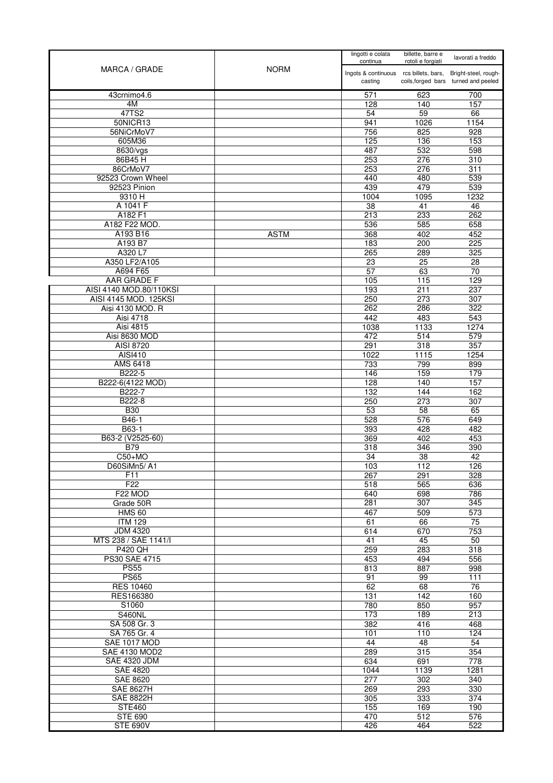| MARCA / GRADE                          | <b>NORM</b> | lingotti e colata<br>continua                     | billette, barre e<br>rotoli e forgiati | lavorati a freddo                                            |
|----------------------------------------|-------------|---------------------------------------------------|----------------------------------------|--------------------------------------------------------------|
|                                        |             | Ingots & continuous rcs billets, bars,<br>casting |                                        | Bright-steel, rough-<br>coils, forged bars turned and peeled |
| 43crnimo4.6                            |             | 571                                               | 623                                    | 700                                                          |
| 4M                                     |             | 128                                               | 140                                    | 157                                                          |
| 47TS2                                  |             | 54                                                | 59                                     | 66                                                           |
| 50NICR13                               |             | 941                                               | 1026                                   | 1154                                                         |
| 56NiCrMoV7<br>605M36                   |             | 756<br>125                                        | 825<br>136                             | $\overline{928}$<br>153                                      |
| 8630/vgs                               |             | 487                                               | 532                                    | 598                                                          |
| 86B45H                                 |             | 253                                               | 276                                    | 310                                                          |
| 86CrMoV7                               |             | 253                                               | 276                                    | 311                                                          |
| 92523 Crown Wheel                      |             | 440                                               | 480                                    | 539                                                          |
| 92523 Pinion                           |             | 439                                               | 479                                    | 539                                                          |
| 9310 H<br>A 1041 F                     |             | 1004<br>38                                        | 1095<br>41                             | 1232<br>46                                                   |
| A182 F1                                |             | 213                                               | 233                                    | 262                                                          |
| A182 F22 MOD.                          |             | 536                                               | 585                                    | 658                                                          |
| A193 B16                               | <b>ASTM</b> | 368                                               | 402                                    | 452                                                          |
| A193 B7                                |             | 183                                               | 200                                    | 225                                                          |
| A320 L7                                |             | 265                                               | 289                                    | 325                                                          |
| A350 LF2/A105                          |             | 23                                                | $\overline{25}$                        | 28                                                           |
| A694 F65<br><b>AAR GRADE F</b>         |             | 57<br>105                                         | 63<br>115                              | $\overline{70}$<br>129                                       |
| AISI 4140 MOD.80/110KSI                |             | 193                                               | 211                                    | 237                                                          |
| AISI 4145 MOD. 125KSI                  |             | 250                                               | 273                                    | 307                                                          |
| Aisi 4130 MOD. R                       |             | 262                                               | 286                                    | 322                                                          |
| Aisi 4718                              |             | 442                                               | 483                                    | 543                                                          |
| Aisi 4815                              |             | 1038                                              | 1133                                   | 1274                                                         |
| Aisi 8630 MOD                          |             | 472                                               | 514                                    | 579                                                          |
| <b>AISI 8720</b>                       |             | 291                                               | 318<br>1115                            | 357                                                          |
| AISI410<br><b>AMS 6418</b>             |             | 1022<br>733                                       | 799                                    | 1254<br>899                                                  |
| B222-5                                 |             | 146                                               | 159                                    | 179                                                          |
| B222-6(4122 MOD)                       |             | 128                                               | 140                                    | 157                                                          |
| B222-7                                 |             | 132                                               | 144                                    | 162                                                          |
| B222-8                                 |             | 250                                               | 273                                    | 307                                                          |
| <b>B30</b><br>B46-1                    |             | 53<br>528                                         | 58<br>576                              | 65<br>649                                                    |
| B63-1                                  |             | 393                                               | 428                                    | 482                                                          |
| B63-2 (V2525-60)                       |             | 369                                               | 402                                    | 453                                                          |
| <b>B79</b>                             |             | 318                                               | 346                                    | 390                                                          |
| $C50+MO$                               |             | 34                                                | 38                                     | 42                                                           |
| D60SiMn5/A1                            |             | 103                                               | 112                                    | 126                                                          |
| F11<br>F <sub>22</sub>                 |             | 267<br>518                                        | 291<br>565                             | 328<br>636                                                   |
| F <sub>22</sub> MOD                    |             | 640                                               | 698                                    | 786                                                          |
| Grade 50R                              |             | 281                                               | 307                                    | 345                                                          |
| <b>HMS 60</b>                          |             | 467                                               | 509                                    | 573                                                          |
| <b>ITM 129</b>                         |             | 61                                                | 66                                     | 75                                                           |
| <b>JDM 4320</b>                        |             | 614                                               | 670                                    | 753                                                          |
| MTS 238 / SAE 1141/I<br><b>P420 QH</b> |             | $\overline{41}$<br>259                            | 45<br>283                              | 50<br>318                                                    |
| PS30 SAE 4715                          |             | 453                                               | 494                                    | 556                                                          |
| <b>PS55</b>                            |             | 813                                               | 887                                    | 998                                                          |
| <b>PS65</b>                            |             | 91                                                | 99                                     | 111                                                          |
| <b>RES 10460</b>                       |             | 62                                                | 68                                     | 76                                                           |
| RES166380                              |             | 131                                               | $\overline{142}$                       | 160                                                          |
| S1060                                  |             | 780                                               | 850                                    | 957                                                          |
| <b>S460NL</b><br>SA 508 Gr. 3          |             | 173<br>382                                        | 189<br>416                             | 213<br>468                                                   |
| SA 765 Gr. 4                           |             | 101                                               | 110                                    | 124                                                          |
| SAE 1017 MOD                           |             | 44                                                | 48                                     | 54                                                           |
| <b>SAE 4130 MOD2</b>                   |             | 289                                               | 315                                    | 354                                                          |
| <b>SAE 4320 JDM</b>                    |             | 634                                               | 691                                    | 778                                                          |
| <b>SAE 4820</b>                        |             | 1044                                              | 1139                                   | 1281                                                         |
| <b>SAE 8620</b>                        |             | 277                                               | 302                                    | 340                                                          |
| <b>SAE 8627H</b><br><b>SAE 8822H</b>   |             | 269<br>305                                        | 293<br>333                             | 330<br>374                                                   |
| <b>STE460</b>                          |             | 155                                               | 169                                    | 190                                                          |
| <b>STE 690</b>                         |             | 470                                               | 512                                    | 576                                                          |
| <b>STE 690V</b>                        |             | 426                                               | 464                                    | 522                                                          |